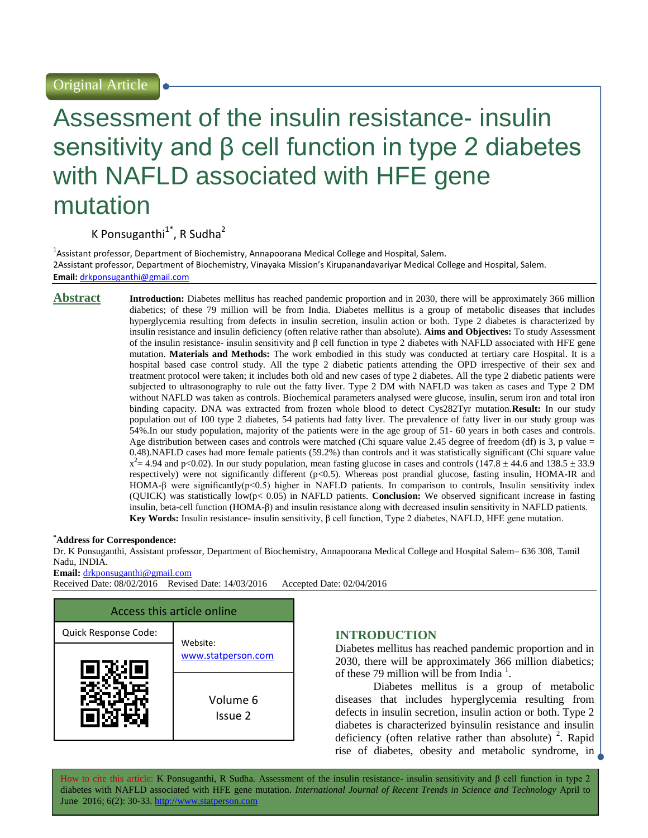# Assessment of the insulin resistance- insulin sensitivity and β cell function in type 2 diabetes with NAFLD associated with HFE gene mutation

K Ponsuganthi<sup>1\*</sup>, R Sudha<sup>2</sup>

<sup>1</sup>Assistant professor, Department of Biochemistry, Annapoorana Medical College and Hospital, Salem. 2Assistant professor, Department of Biochemistry, Vinayaka Mission's Kirupanandavariyar Medical College and Hospital, Salem. **Email:** [drkponsuganthi@gmail.com](mailto:drkponsuganthi@gmail.com)

**Abstract Introduction:** Diabetes mellitus has reached pandemic proportion and in 2030, there will be approximately 366 million diabetics; of these 79 million will be from India. Diabetes mellitus is a group of metabolic diseases that includes hyperglycemia resulting from defects in insulin secretion, insulin action or both. Type 2 diabetes is characterized by insulin resistance and insulin deficiency (often relative rather than absolute). **Aims and Objectives:** To study Assessment of the insulin resistance- insulin sensitivity and β cell function in type 2 diabetes with NAFLD associated with HFE gene mutation. **Materials and Methods:** The work embodied in this study was conducted at tertiary care Hospital. It is a hospital based case control study. All the type 2 diabetic patients attending the OPD irrespective of their sex and treatment protocol were taken; it includes both old and new cases of type 2 diabetes. All the type 2 diabetic patients were subjected to ultrasonography to rule out the fatty liver. Type 2 DM with NAFLD was taken as cases and Type 2 DM without NAFLD was taken as controls. Biochemical parameters analysed were glucose, insulin, serum iron and total iron binding capacity. DNA was extracted from frozen whole blood to detect Cys282Tyr mutation.**Result:** In our study population out of 100 type 2 diabetes, 54 patients had fatty liver. The prevalence of fatty liver in our study group was 54%.In our study population, majority of the patients were in the age group of 51- 60 years in both cases and controls. Age distribution between cases and controls were matched (Chi square value 2.45 degree of freedom (df) is 3, p value  $=$ 0.48).NAFLD cases had more female patients (59.2%) than controls and it was statistically significant (Chi square value  $x^2 = 4.94$  and p<0.02). In our study population, mean fasting glucose in cases and controls (147.8  $\pm$  44.6 and 138.5  $\pm$  33.9 respectively) were not significantly different (p<0.5). Whereas post prandial glucose, fasting insulin, HOMA-IR and HOMA-β were significantly(p<0.5) higher in NAFLD patients. In comparison to controls, Insulin sensitivity index (QUICK) was statistically low(p< 0.05) in NAFLD patients. **Conclusion:** We observed significant increase in fasting insulin, beta-cell function (HOMA-β) and insulin resistance along with decreased insulin sensitivity in NAFLD patients. **Key Words:** Insulin resistance- insulin sensitivity, β cell function, Type 2 diabetes, NAFLD, HFE gene mutation.

#### **\*Address for Correspondence:**

Dr. K Ponsuganthi, Assistant professor, Department of Biochemistry, Annapoorana Medical College and Hospital Salem– 636 308, Tamil Nadu, INDIA.

**Email:** [drkponsuganthi@gmail.com](mailto:drkponsuganthi@gmail.com)

Received Date: 08/02/2016 Revised Date: 14/03/2016 Accepted Date: 02/04/2016



# **INTRODUCTION**

Diabetes mellitus has reached pandemic proportion and in 2030, there will be approximately 366 million diabetics; of these 79 million will be from India<sup>1</sup>.

Diabetes mellitus is a group of metabolic diseases that includes hyperglycemia resulting from defects in insulin secretion, insulin action or both. Type 2 diabetes is characterized byinsulin resistance and insulin deficiency (often relative rather than absolute)  $^{2}$ . Rapid rise of diabetes, obesity and metabolic syndrome, in

How to cite this article: K Ponsuganthi, R Sudha*.* Assessment of the insulin resistance- insulin sensitivity and β cell function in type 2 diabetes with NAFLD associated with HFE gene mutation. *International Journal of Recent Trends in Science and Technology* April to June 2016; 6(2): 30-33. http://www.statperson.com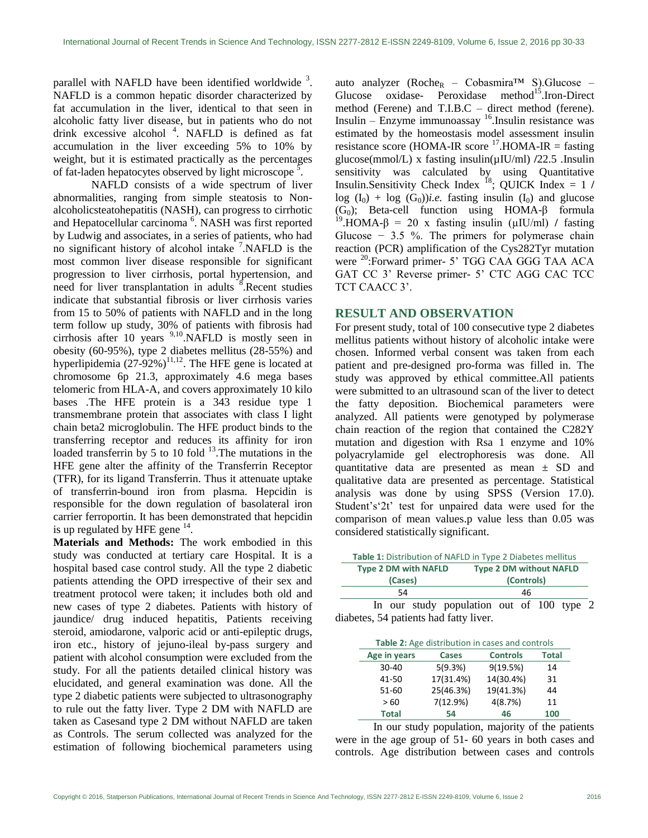parallel with NAFLD have been identified worldwide  $3$ . NAFLD is a common hepatic disorder characterized by fat accumulation in the liver, identical to that seen in alcoholic fatty liver disease, but in patients who do not drink excessive alcohol<sup>4</sup>. NAFLD is defined as fat accumulation in the liver exceeding 5% to 10% by weight, but it is estimated practically as the percentages of fat-laden hepatocytes observed by light microscope  $\frac{5}{5}$ .

NAFLD consists of a wide spectrum of liver abnormalities, ranging from simple steatosis to Nonalcoholicsteatohepatitis (NASH), can progress to cirrhotic and Hepatocellular carcinoma<sup>6</sup>. NASH was first reported by Ludwig and associates, in a series of patients, who had no significant history of alcohol intake <sup>7</sup>.NAFLD is the most common liver disease responsible for significant progression to liver cirrhosis, portal hypertension, and need for liver transplantation in adults <sup>8</sup>. Recent studies indicate that substantial fibrosis or liver cirrhosis varies from 15 to 50% of patients with NAFLD and in the long term follow up study, 30% of patients with fibrosis had cirrhosis after 10 years 9,10.NAFLD is mostly seen in obesity (60-95%), type 2 diabetes mellitus (28-55%) and hyperlipidemia  $(27-92%)$ <sup>11,12</sup>. The HFE gene is located at chromosome 6p 21.3, approximately 4.6 mega bases telomeric from HLA-A, and covers approximately 10 kilo bases .The HFE protein is a 343 residue type 1 transmembrane protein that associates with class I light chain beta2 microglobulin. The HFE product binds to the transferring receptor and reduces its affinity for iron loaded transferrin by 5 to 10 fold  $^{13}$ . The mutations in the HFE gene alter the affinity of the Transferrin Receptor (TFR), for its ligand Transferrin. Thus it attenuate uptake of transferrin-bound iron from plasma. Hepcidin is responsible for the down regulation of basolateral iron carrier ferroportin. It has been demonstrated that hepcidin is up regulated by HFE gene  $14$ .

**Materials and Methods:** The work embodied in this study was conducted at tertiary care Hospital. It is a hospital based case control study. All the type 2 diabetic patients attending the OPD irrespective of their sex and treatment protocol were taken; it includes both old and new cases of type 2 diabetes. Patients with history of jaundice/ drug induced hepatitis, Patients receiving steroid, amiodarone, valporic acid or anti-epileptic drugs, iron etc., history of jejuno-ileal by-pass surgery and patient with alcohol consumption were excluded from the study. For all the patients detailed clinical history was elucidated, and general examination was done. All the type 2 diabetic patients were subjected to ultrasonography to rule out the fatty liver. Type 2 DM with NAFLD are taken as Casesand type 2 DM without NAFLD are taken as Controls. The serum collected was analyzed for the estimation of following biochemical parameters using auto analyzer ( $Roche_R$  – Cobasmira<sup>TM</sup> S). Glucose – Glucose oxidase- Peroxidase method<sup>15</sup>.Iron-Direct method (Ferene) and T.I.B.C – direct method (ferene). Insulin – Enzyme immunoassay  $16$ . Insulin resistance was estimated by the homeostasis model assessment insulin resistance score (HOMA-IR score  $^{17}$ .HOMA-IR = fasting glucose(mmol/L) x fasting insulin(µIU/ml) **/**22.5 .Insulin sensitivity was calculated by using Quantitative Insulin.Sensitivity Check Index  $^{18}$ ; QUICK Index = 1 /  $log (I_0) + log (G_0)$ *i.e.* fasting insulin  $(I_0)$  and glucose (G<sub>0</sub>); Beta-cell function using HOMA- $\beta$  formula <sup>19</sup>.HOMA-β = 20 x fasting insulin (µIU/ml) **/** fasting Glucose  $-3.5$  %. The primers for polymerase chain reaction (PCR) amplification of the Cys282Tyr mutation were <sup>20</sup>:Forward primer- 5' TGG CAA GGG TAA ACA GAT CC 3' Reverse primer- 5' CTC AGG CAC TCC TCT CAACC 3'.

### **RESULT AND OBSERVATION**

For present study, total of 100 consecutive type 2 diabetes mellitus patients without history of alcoholic intake were chosen. Informed verbal consent was taken from each patient and pre-designed pro-forma was filled in. The study was approved by ethical committee.All patients were submitted to an ultrasound scan of the liver to detect the fatty deposition. Biochemical parameters were analyzed. All patients were genotyped by polymerase chain reaction of the region that contained the C282Y mutation and digestion with Rsa 1 enzyme and 10% polyacrylamide gel electrophoresis was done. All quantitative data are presented as mean ± SD and qualitative data are presented as percentage. Statistical analysis was done by using SPSS (Version 17.0). Student's'2t' test for unpaired data were used for the comparison of mean values.p value less than 0.05 was considered statistically significant.

| Table 1: Distribution of NAFLD in Type 2 Diabetes mellitus |                                           |  |
|------------------------------------------------------------|-------------------------------------------|--|
| <b>Type 2 DM with NAFLD</b>                                | <b>Type 2 DM without NAFLD</b>            |  |
| (Cases)                                                    | (Controls)                                |  |
| 54                                                         | 46                                        |  |
|                                                            | In our study population out of 100 type 2 |  |

diabetes, 54 patients had fatty liver.

| <b>Table 2:</b> Age distribution in cases and controls |           |                 |              |
|--------------------------------------------------------|-----------|-----------------|--------------|
| Age in years                                           | Cases     | <b>Controls</b> | <b>Total</b> |
| $30 - 40$                                              | 5(9.3%)   | 9(19.5%)        | 14           |
| 41-50                                                  | 17(31.4%) | 14(30.4%)       | 31           |
| 51-60                                                  | 25(46.3%) | 19(41.3%)       | 44           |
| >60                                                    | 7(12.9%)  | 4(8.7%)         | 11           |
| <b>Total</b>                                           | 54        | 46              | 100          |

In our study population, majority of the patients were in the age group of 51- 60 years in both cases and controls. Age distribution between cases and controls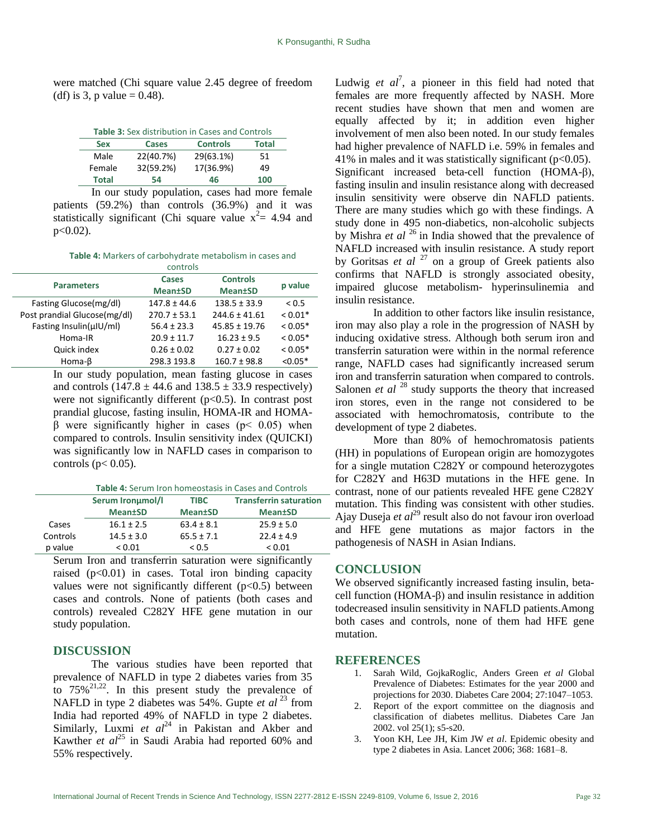were matched (Chi square value 2.45 degree of freedom (df) is 3, p value =  $0.48$ ).

| <b>Table 3:</b> Sex distribution in Cases and Controls |              |                 |              |
|--------------------------------------------------------|--------------|-----------------|--------------|
| <b>Sex</b>                                             | <b>Cases</b> | <b>Controls</b> | <b>Total</b> |
| Male                                                   | 22(40.7%)    | 29(63.1%)       | 51           |
| Female                                                 | 32(59.2%)    | 17(36.9%)       | 49           |
| <b>Total</b>                                           | 54           | 46              | 100          |

In our study population, cases had more female patients (59.2%) than controls (36.9%) and it was statistically significant (Chi square value  $x^2 = 4.94$  and  $p<0.02$ ).

**Table 4:** Markers of carbohydrate metabolism in cases and

|                               | controls         |                   |            |
|-------------------------------|------------------|-------------------|------------|
| <b>Parameters</b>             | Cases            | <b>Controls</b>   | p value    |
|                               | <b>Mean</b> tSD  | <b>Mean±SD</b>    |            |
| Fasting Glucose (mg/dl)       | $147.8 \pm 44.6$ | $138.5 \pm 33.9$  | ${}_{0.5}$ |
| Post prandial Glucose (mg/dl) | $270.7 \pm 53.1$ | $244.6 \pm 41.61$ | $< 0.01*$  |
| Fasting Insulin(uIU/ml)       | $56.4 \pm 23.3$  | $45.85 \pm 19.76$ | $< 0.05*$  |
| Homa-IR                       | $20.9 \pm 11.7$  | $16.23 \pm 9.5$   | $< 0.05*$  |
| Quick index                   | $0.26 \pm 0.02$  | $0.27 \pm 0.02$   | $0.05*$    |
| Homa- $\beta$                 | 298.3 193.8      | $160.7 \pm 98.8$  | $< 0.05*$  |

In our study population, mean fasting glucose in cases and controls  $(147.8 \pm 44.6 \text{ and } 138.5 \pm 33.9 \text{ respectively})$ were not significantly different  $(p<0.5)$ . In contrast post prandial glucose, fasting insulin, HOMA-IR and HOMAβ were significantly higher in cases (p< 0.05) when compared to controls. Insulin sensitivity index (QUICKI) was significantly low in NAFLD cases in comparison to controls ( $p < 0.05$ ).

|                  |             | <b>Table 4: Serum Iron homeostasis in Cases and Controls</b> |
|------------------|-------------|--------------------------------------------------------------|
| Serum Ironumol/I | <b>TIBC</b> | <b>Transferrin saturatio</b>                                 |

|          | Serum Ironumol/I | <b>TIBC</b>     | <b>Transferrin saturation</b> |
|----------|------------------|-----------------|-------------------------------|
|          | <b>Mean</b> tSD  | <b>Mean</b> tSD | <b>Mean</b> tSD               |
| Cases    | $16.1 \pm 2.5$   | $63.4 \pm 8.1$  | $25.9 \pm 5.0$                |
| Controls | $14.5 \pm 3.0$   | $65.5 \pm 7.1$  | $22.4 \pm 4.9$                |
| p value  | ${}_{0.01}$      | < 0.5           | ${}_{0.01}$                   |

Serum Iron and transferrin saturation were significantly raised  $(p<0.01)$  in cases. Total iron binding capacity values were not significantly different  $(p<0.5)$  between cases and controls. None of patients (both cases and controls) revealed C282Y HFE gene mutation in our study population.

### **DISCUSSION**

The various studies have been reported that prevalence of NAFLD in type 2 diabetes varies from 35 to  $75\%^{21,22}$ . In this present study the prevalence of NAFLD in type 2 diabetes was 54%. Gupte *et al* <sup>23</sup> from India had reported 49% of NAFLD in type 2 diabetes. Similarly, Luxmi *et al*<sup>24</sup> in Pakistan and Akber and Kawther *et al*<sup>25</sup> in Saudi Arabia had reported 60% and 55% respectively.

Ludwig  $et \text{ } al^7$ , a pioneer in this field had noted that females are more frequently affected by NASH. More recent studies have shown that men and women are equally affected by it; in addition even higher involvement of men also been noted. In our study females had higher prevalence of NAFLD i.e. 59% in females and 41% in males and it was statistically significant  $(p<0.05)$ . Significant increased beta-cell function (HOMA-β), fasting insulin and insulin resistance along with decreased insulin sensitivity were observe din NAFLD patients. There are many studies which go with these findings. A study done in 495 non-diabetics, non-alcoholic subjects by Mishra *et al* <sup>26</sup> in India showed that the prevalence of NAFLD increased with insulin resistance. A study report by Goritsas *et al* <sup>27</sup> on a group of Greek patients also confirms that NAFLD is strongly associated obesity, impaired glucose metabolism- hyperinsulinemia and insulin resistance.

In addition to other factors like insulin resistance, iron may also play a role in the progression of NASH by inducing oxidative stress. Although both serum iron and transferrin saturation were within in the normal reference range, NAFLD cases had significantly increased serum iron and transferrin saturation when compared to controls. Salonen *et al* <sup>28</sup> study supports the theory that increased iron stores, even in the range not considered to be associated with hemochromatosis, contribute to the development of type 2 diabetes.

More than 80% of hemochromatosis patients (HH) in populations of European origin are homozygotes for a single mutation C282Y or compound heterozygotes for C282Y and H63D mutations in the HFE gene. In contrast, none of our patients revealed HFE gene C282Y mutation. This finding was consistent with other studies. Ajay Duseja *et al*<sup>29</sup> result also do not favour iron overload and HFE gene mutations as major factors in the pathogenesis of NASH in Asian Indians.

## **CONCLUSION**

We observed significantly increased fasting insulin, betacell function (HOMA-β) and insulin resistance in addition todecreased insulin sensitivity in NAFLD patients.Among both cases and controls, none of them had HFE gene mutation.

#### **REFERENCES**

- 1. Sarah Wild, GojkaRoglic, Anders Green *et al* Global Prevalence of Diabetes: Estimates for the year 2000 and projections for 2030. Diabetes Care 2004; 27:1047–1053.
- 2. Report of the export committee on the diagnosis and classification of diabetes mellitus. Diabetes Care Jan 2002. vol 25(1); s5-s20.
- 3. Yoon KH, Lee JH, Kim JW *et al*. Epidemic obesity and type 2 diabetes in Asia. Lancet 2006; 368: 1681–8.